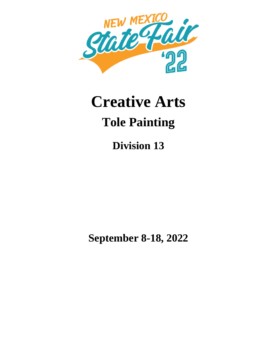

# **Creative Arts Tole Painting**

**Division 13**

**September 8-18, 2022**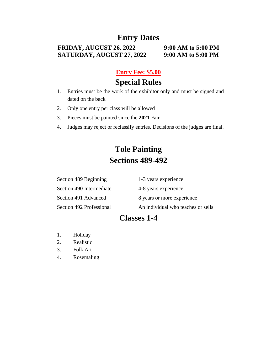## **Entry Dates**

#### **FRIDAY, AUGUST 26, 2022 9:00 AM to 5:00 PM SATURDAY, AUGUST 27, 2022 9:00 AM to 5:00 PM**

#### **Entry Fee: \$5.00**

## **Special Rules**

- 1. Entries must be the work of the exhibitor only and must be signed and dated on the back
- 2. Only one entry per class will be allowed
- 3. Pieces must be painted since the **2021** Fair
- 4. Judges may reject or reclassify entries. Decisions of the judges are final.

# **Tole Painting Sections 489-492**

| Section 489 Beginning    | 1-3 years experience               |
|--------------------------|------------------------------------|
| Section 490 Intermediate | 4-8 years experience               |
| Section 491 Advanced     | 8 years or more experience         |
| Section 492 Professional | An individual who teaches or sells |

# **Classes 1-4**

- 1. Holiday
- 2. Realistic
- 3. Folk Art
- 4. Rosemaling